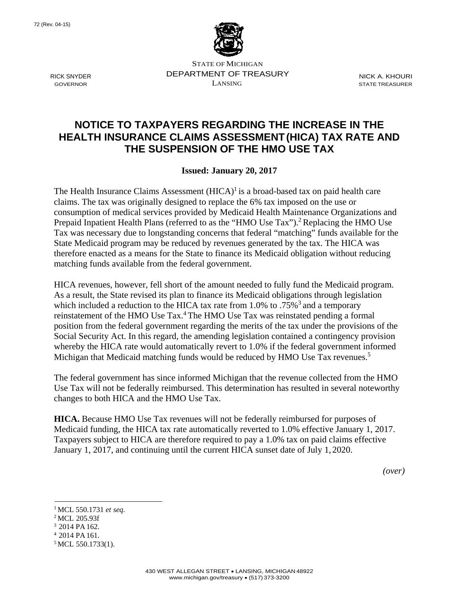

STATE OF MICHIGAN DEPARTMENT OF TREASURY NICK A. KHOURI<br>LANSING STATE TREASURER GOVERNOR LANSING STATE TREASURER

## **NOTICE TO TAXPAYERS REGARDING THE INCREASE IN THE HEALTH INSURANCE CLAIMS ASSESSMENT (HICA) TAX RATE AND THE SUSPENSION OF THE HMO USE TAX**

**Issued: January 20, 2017**

The Health Insurance Claims Assessment  $(HICA)^{1}$  is a broad-based tax on paid health care claims. The tax was originally designed to replace the 6% tax imposed on the use or consumption of medical services provided by Medicaid Health Maintenance Organizations and Prepaid Inpatient Health Plans (referred to as the "HMO Use Tax").<sup>2</sup> Replacing the HMO Use Tax was necessary due to longstanding concerns that federal "matching" funds available for the State Medicaid program may be reduced by revenues generated by the tax. The HICA was therefore enacted as a means for the State to finance its Medicaid obligation without reducing matching funds available from the federal government.

HICA revenues, however, fell short of the amount needed to fully fund the Medicaid program. As a result, the State revised its plan to finance its Medicaid obligations through legislation which included a reduction to the HICA tax rate from 1.0% to .75%<sup>3</sup> and a temporary reinstatement of the HMO Use Tax.<sup>4</sup> The HMO Use Tax was reinstated pending a formal position from the federal government regarding the merits of the tax under the provisions of the Social Security Act. In this regard, the amending legislation contained a contingency provision whereby the HICA rate would automatically revert to 1.0% if the federal government informed Michigan that Medicaid matching funds would be reduced by HMO Use Tax revenues.<sup>5</sup>

The federal government has since informed Michigan that the revenue collected from the HMO Use Tax will not be federally reimbursed. This determination has resulted in several noteworthy changes to both HICA and the HMO Use Tax.

**HICA.** Because HMO Use Tax revenues will not be federally reimbursed for purposes of Medicaid funding, the HICA tax rate automatically reverted to 1.0% effective January 1, 2017. Taxpayers subject to HICA are therefore required to pay a 1.0% tax on paid claims effective January 1, 2017, and continuing until the current HICA sunset date of July 1, 2020.

*(over)* 

- 1 MCL 550.1731 *et seq*. 2 MCL 205.93f
- 3 2014 PA 162.
- 4 2014 PA 161.

RICK SNYDER

<sup>&</sup>lt;sup>5</sup> MCL 550.1733(1).